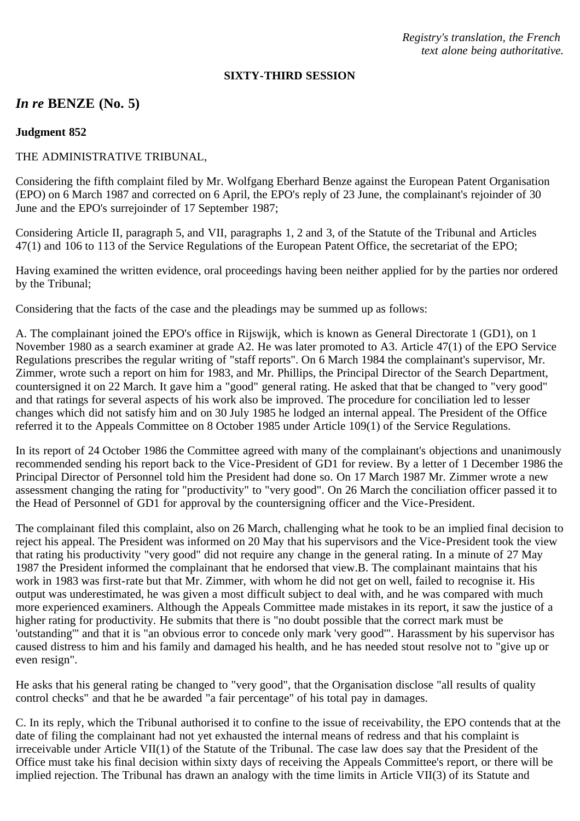*Registry's translation, the French text alone being authoritative.*

#### **SIXTY-THIRD SESSION**

# *In re* **BENZE (No. 5)**

#### **Judgment 852**

### THE ADMINISTRATIVE TRIBUNAL,

Considering the fifth complaint filed by Mr. Wolfgang Eberhard Benze against the European Patent Organisation (EPO) on 6 March 1987 and corrected on 6 April, the EPO's reply of 23 June, the complainant's rejoinder of 30 June and the EPO's surrejoinder of 17 September 1987;

Considering Article II, paragraph 5, and VII, paragraphs 1, 2 and 3, of the Statute of the Tribunal and Articles 47(1) and 106 to 113 of the Service Regulations of the European Patent Office, the secretariat of the EPO;

Having examined the written evidence, oral proceedings having been neither applied for by the parties nor ordered by the Tribunal;

Considering that the facts of the case and the pleadings may be summed up as follows:

A. The complainant joined the EPO's office in Rijswijk, which is known as General Directorate 1 (GD1), on 1 November 1980 as a search examiner at grade A2. He was later promoted to A3. Article 47(1) of the EPO Service Regulations prescribes the regular writing of "staff reports". On 6 March 1984 the complainant's supervisor, Mr. Zimmer, wrote such a report on him for 1983, and Mr. Phillips, the Principal Director of the Search Department, countersigned it on 22 March. It gave him a "good" general rating. He asked that that be changed to "very good" and that ratings for several aspects of his work also be improved. The procedure for conciliation led to lesser changes which did not satisfy him and on 30 July 1985 he lodged an internal appeal. The President of the Office referred it to the Appeals Committee on 8 October 1985 under Article 109(1) of the Service Regulations.

In its report of 24 October 1986 the Committee agreed with many of the complainant's objections and unanimously recommended sending his report back to the Vice-President of GD1 for review. By a letter of 1 December 1986 the Principal Director of Personnel told him the President had done so. On 17 March 1987 Mr. Zimmer wrote a new assessment changing the rating for "productivity" to "very good". On 26 March the conciliation officer passed it to the Head of Personnel of GD1 for approval by the countersigning officer and the Vice-President.

The complainant filed this complaint, also on 26 March, challenging what he took to be an implied final decision to reject his appeal. The President was informed on 20 May that his supervisors and the Vice-President took the view that rating his productivity "very good" did not require any change in the general rating. In a minute of 27 May 1987 the President informed the complainant that he endorsed that view.B. The complainant maintains that his work in 1983 was first-rate but that Mr. Zimmer, with whom he did not get on well, failed to recognise it. His output was underestimated, he was given a most difficult subject to deal with, and he was compared with much more experienced examiners. Although the Appeals Committee made mistakes in its report, it saw the justice of a higher rating for productivity. He submits that there is "no doubt possible that the correct mark must be 'outstanding'" and that it is "an obvious error to concede only mark 'very good'". Harassment by his supervisor has caused distress to him and his family and damaged his health, and he has needed stout resolve not to "give up or even resign".

He asks that his general rating be changed to "very good", that the Organisation disclose "all results of quality control checks" and that he be awarded "a fair percentage" of his total pay in damages.

C. In its reply, which the Tribunal authorised it to confine to the issue of receivability, the EPO contends that at the date of filing the complainant had not yet exhausted the internal means of redress and that his complaint is irreceivable under Article VII(1) of the Statute of the Tribunal. The case law does say that the President of the Office must take his final decision within sixty days of receiving the Appeals Committee's report, or there will be implied rejection. The Tribunal has drawn an analogy with the time limits in Article VII(3) of its Statute and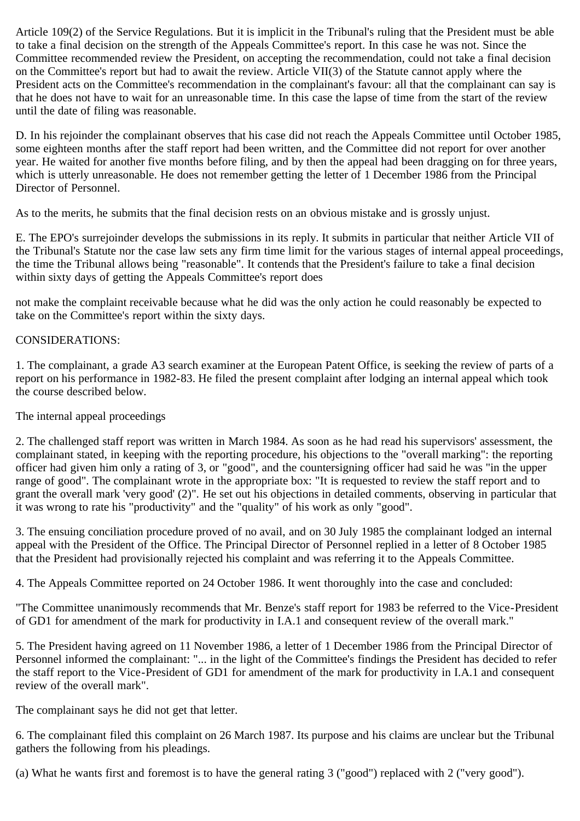Article 109(2) of the Service Regulations. But it is implicit in the Tribunal's ruling that the President must be able to take a final decision on the strength of the Appeals Committee's report. In this case he was not. Since the Committee recommended review the President, on accepting the recommendation, could not take a final decision on the Committee's report but had to await the review. Article VII(3) of the Statute cannot apply where the President acts on the Committee's recommendation in the complainant's favour: all that the complainant can say is that he does not have to wait for an unreasonable time. In this case the lapse of time from the start of the review until the date of filing was reasonable.

D. In his rejoinder the complainant observes that his case did not reach the Appeals Committee until October 1985, some eighteen months after the staff report had been written, and the Committee did not report for over another year. He waited for another five months before filing, and by then the appeal had been dragging on for three years, which is utterly unreasonable. He does not remember getting the letter of 1 December 1986 from the Principal Director of Personnel.

As to the merits, he submits that the final decision rests on an obvious mistake and is grossly unjust.

E. The EPO's surrejoinder develops the submissions in its reply. It submits in particular that neither Article VII of the Tribunal's Statute nor the case law sets any firm time limit for the various stages of internal appeal proceedings, the time the Tribunal allows being "reasonable". It contends that the President's failure to take a final decision within sixty days of getting the Appeals Committee's report does

not make the complaint receivable because what he did was the only action he could reasonably be expected to take on the Committee's report within the sixty days.

### CONSIDERATIONS:

1. The complainant, a grade A3 search examiner at the European Patent Office, is seeking the review of parts of a report on his performance in 1982-83. He filed the present complaint after lodging an internal appeal which took the course described below.

### The internal appeal proceedings

2. The challenged staff report was written in March 1984. As soon as he had read his supervisors' assessment, the complainant stated, in keeping with the reporting procedure, his objections to the "overall marking": the reporting officer had given him only a rating of 3, or "good", and the countersigning officer had said he was "in the upper range of good". The complainant wrote in the appropriate box: "It is requested to review the staff report and to grant the overall mark 'very good' (2)". He set out his objections in detailed comments, observing in particular that it was wrong to rate his "productivity" and the "quality" of his work as only "good".

3. The ensuing conciliation procedure proved of no avail, and on 30 July 1985 the complainant lodged an internal appeal with the President of the Office. The Principal Director of Personnel replied in a letter of 8 October 1985 that the President had provisionally rejected his complaint and was referring it to the Appeals Committee.

4. The Appeals Committee reported on 24 October 1986. It went thoroughly into the case and concluded:

"The Committee unanimously recommends that Mr. Benze's staff report for 1983 be referred to the Vice-President of GD1 for amendment of the mark for productivity in I.A.1 and consequent review of the overall mark."

5. The President having agreed on 11 November 1986, a letter of 1 December 1986 from the Principal Director of Personnel informed the complainant: "... in the light of the Committee's findings the President has decided to refer the staff report to the Vice-President of GD1 for amendment of the mark for productivity in I.A.1 and consequent review of the overall mark".

The complainant says he did not get that letter.

6. The complainant filed this complaint on 26 March 1987. Its purpose and his claims are unclear but the Tribunal gathers the following from his pleadings.

(a) What he wants first and foremost is to have the general rating 3 ("good") replaced with 2 ("very good").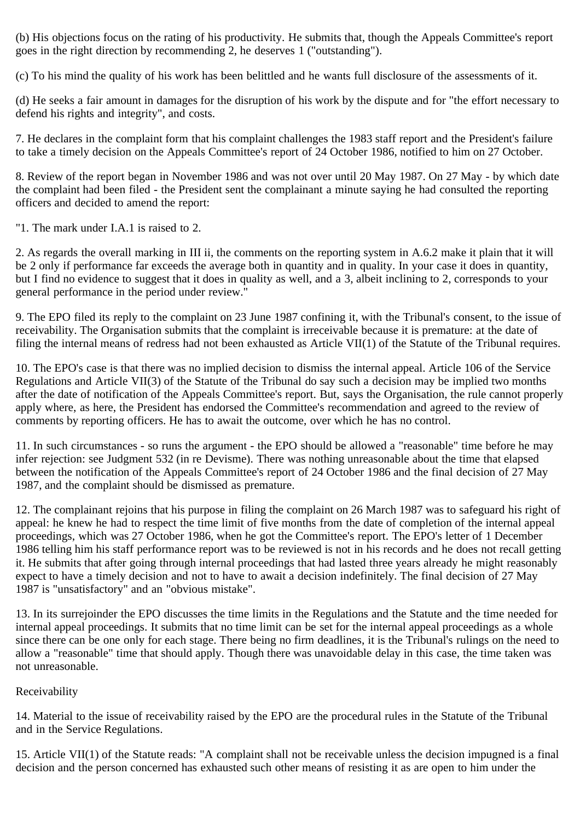(b) His objections focus on the rating of his productivity. He submits that, though the Appeals Committee's report goes in the right direction by recommending 2, he deserves 1 ("outstanding").

(c) To his mind the quality of his work has been belittled and he wants full disclosure of the assessments of it.

(d) He seeks a fair amount in damages for the disruption of his work by the dispute and for "the effort necessary to defend his rights and integrity", and costs.

7. He declares in the complaint form that his complaint challenges the 1983 staff report and the President's failure to take a timely decision on the Appeals Committee's report of 24 October 1986, notified to him on 27 October.

8. Review of the report began in November 1986 and was not over until 20 May 1987. On 27 May - by which date the complaint had been filed - the President sent the complainant a minute saying he had consulted the reporting officers and decided to amend the report:

"1. The mark under I.A.1 is raised to 2.

2. As regards the overall marking in III ii, the comments on the reporting system in A.6.2 make it plain that it will be 2 only if performance far exceeds the average both in quantity and in quality. In your case it does in quantity, but I find no evidence to suggest that it does in quality as well, and a 3, albeit inclining to 2, corresponds to your general performance in the period under review."

9. The EPO filed its reply to the complaint on 23 June 1987 confining it, with the Tribunal's consent, to the issue of receivability. The Organisation submits that the complaint is irreceivable because it is premature: at the date of filing the internal means of redress had not been exhausted as Article VII(1) of the Statute of the Tribunal requires.

10. The EPO's case is that there was no implied decision to dismiss the internal appeal. Article 106 of the Service Regulations and Article VII(3) of the Statute of the Tribunal do say such a decision may be implied two months after the date of notification of the Appeals Committee's report. But, says the Organisation, the rule cannot properly apply where, as here, the President has endorsed the Committee's recommendation and agreed to the review of comments by reporting officers. He has to await the outcome, over which he has no control.

11. In such circumstances - so runs the argument - the EPO should be allowed a "reasonable" time before he may infer rejection: see Judgment 532 (in re Devisme). There was nothing unreasonable about the time that elapsed between the notification of the Appeals Committee's report of 24 October 1986 and the final decision of 27 May 1987, and the complaint should be dismissed as premature.

12. The complainant rejoins that his purpose in filing the complaint on 26 March 1987 was to safeguard his right of appeal: he knew he had to respect the time limit of five months from the date of completion of the internal appeal proceedings, which was 27 October 1986, when he got the Committee's report. The EPO's letter of 1 December 1986 telling him his staff performance report was to be reviewed is not in his records and he does not recall getting it. He submits that after going through internal proceedings that had lasted three years already he might reasonably expect to have a timely decision and not to have to await a decision indefinitely. The final decision of 27 May 1987 is "unsatisfactory" and an "obvious mistake".

13. In its surrejoinder the EPO discusses the time limits in the Regulations and the Statute and the time needed for internal appeal proceedings. It submits that no time limit can be set for the internal appeal proceedings as a whole since there can be one only for each stage. There being no firm deadlines, it is the Tribunal's rulings on the need to allow a "reasonable" time that should apply. Though there was unavoidable delay in this case, the time taken was not unreasonable.

# Receivability

14. Material to the issue of receivability raised by the EPO are the procedural rules in the Statute of the Tribunal and in the Service Regulations.

15. Article VII(1) of the Statute reads: "A complaint shall not be receivable unless the decision impugned is a final decision and the person concerned has exhausted such other means of resisting it as are open to him under the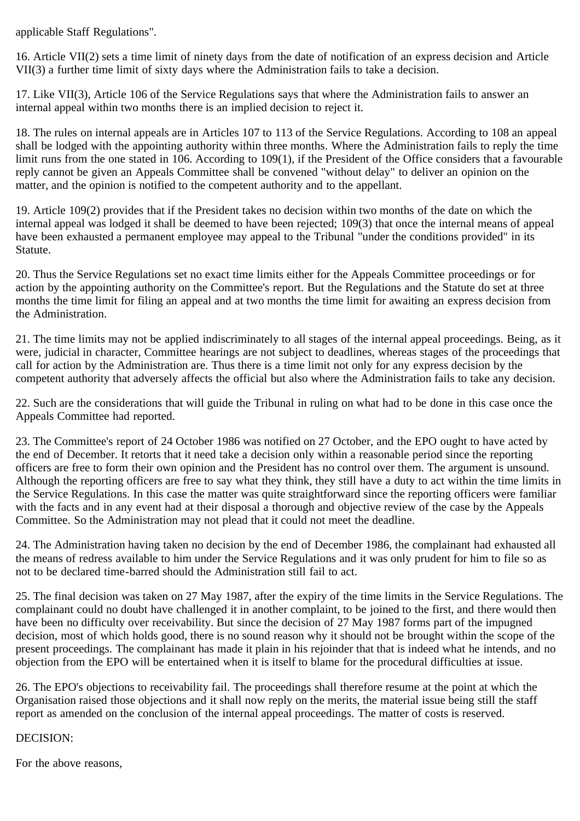applicable Staff Regulations".

16. Article VII(2) sets a time limit of ninety days from the date of notification of an express decision and Article VII(3) a further time limit of sixty days where the Administration fails to take a decision.

17. Like VII(3), Article 106 of the Service Regulations says that where the Administration fails to answer an internal appeal within two months there is an implied decision to reject it.

18. The rules on internal appeals are in Articles 107 to 113 of the Service Regulations. According to 108 an appeal shall be lodged with the appointing authority within three months. Where the Administration fails to reply the time limit runs from the one stated in 106. According to 109(1), if the President of the Office considers that a favourable reply cannot be given an Appeals Committee shall be convened "without delay" to deliver an opinion on the matter, and the opinion is notified to the competent authority and to the appellant.

19. Article 109(2) provides that if the President takes no decision within two months of the date on which the internal appeal was lodged it shall be deemed to have been rejected; 109(3) that once the internal means of appeal have been exhausted a permanent employee may appeal to the Tribunal "under the conditions provided" in its Statute.

20. Thus the Service Regulations set no exact time limits either for the Appeals Committee proceedings or for action by the appointing authority on the Committee's report. But the Regulations and the Statute do set at three months the time limit for filing an appeal and at two months the time limit for awaiting an express decision from the Administration.

21. The time limits may not be applied indiscriminately to all stages of the internal appeal proceedings. Being, as it were, judicial in character, Committee hearings are not subject to deadlines, whereas stages of the proceedings that call for action by the Administration are. Thus there is a time limit not only for any express decision by the competent authority that adversely affects the official but also where the Administration fails to take any decision.

22. Such are the considerations that will guide the Tribunal in ruling on what had to be done in this case once the Appeals Committee had reported.

23. The Committee's report of 24 October 1986 was notified on 27 October, and the EPO ought to have acted by the end of December. It retorts that it need take a decision only within a reasonable period since the reporting officers are free to form their own opinion and the President has no control over them. The argument is unsound. Although the reporting officers are free to say what they think, they still have a duty to act within the time limits in the Service Regulations. In this case the matter was quite straightforward since the reporting officers were familiar with the facts and in any event had at their disposal a thorough and objective review of the case by the Appeals Committee. So the Administration may not plead that it could not meet the deadline.

24. The Administration having taken no decision by the end of December 1986, the complainant had exhausted all the means of redress available to him under the Service Regulations and it was only prudent for him to file so as not to be declared time-barred should the Administration still fail to act.

25. The final decision was taken on 27 May 1987, after the expiry of the time limits in the Service Regulations. The complainant could no doubt have challenged it in another complaint, to be joined to the first, and there would then have been no difficulty over receivability. But since the decision of 27 May 1987 forms part of the impugned decision, most of which holds good, there is no sound reason why it should not be brought within the scope of the present proceedings. The complainant has made it plain in his rejoinder that that is indeed what he intends, and no objection from the EPO will be entertained when it is itself to blame for the procedural difficulties at issue.

26. The EPO's objections to receivability fail. The proceedings shall therefore resume at the point at which the Organisation raised those objections and it shall now reply on the merits, the material issue being still the staff report as amended on the conclusion of the internal appeal proceedings. The matter of costs is reserved.

# DECISION:

For the above reasons,